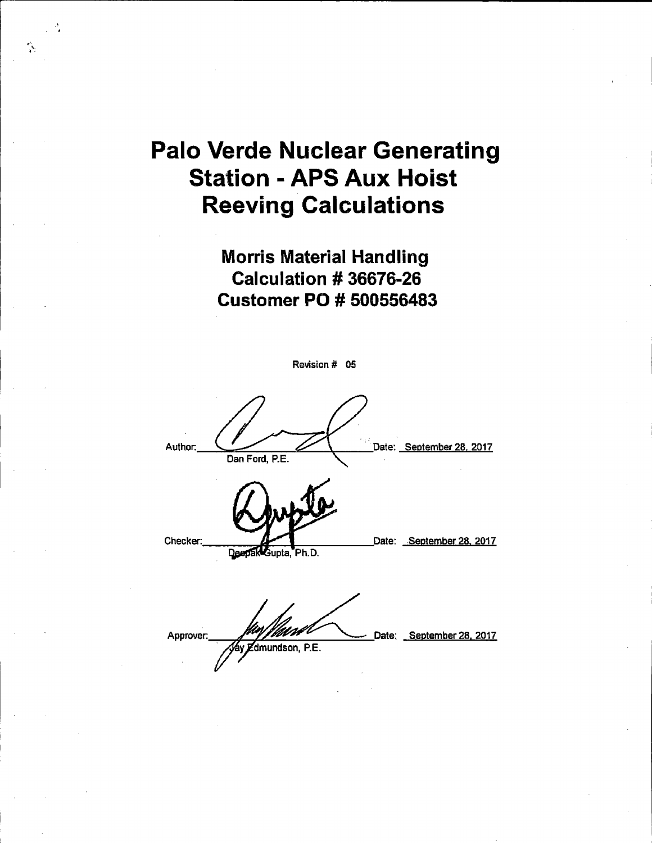## Palo Verde Nuclear Generating Station - APS Aux Hoist Reeving Calculations

•" .

> Morris Material Handling Calculation # 36676-26 Customer PO # 500556483

| Revision # 05                                                      |
|--------------------------------------------------------------------|
| Date: September 28, 2017<br>Author:<br>Dan Ford, P.E.              |
| Checker:<br>Date: September 28, 2017<br>Deepak Gupta, Ph.D.        |
| Date: September 28, 2017<br>Approver.<br>y <i>E</i> dmundson, P.E. |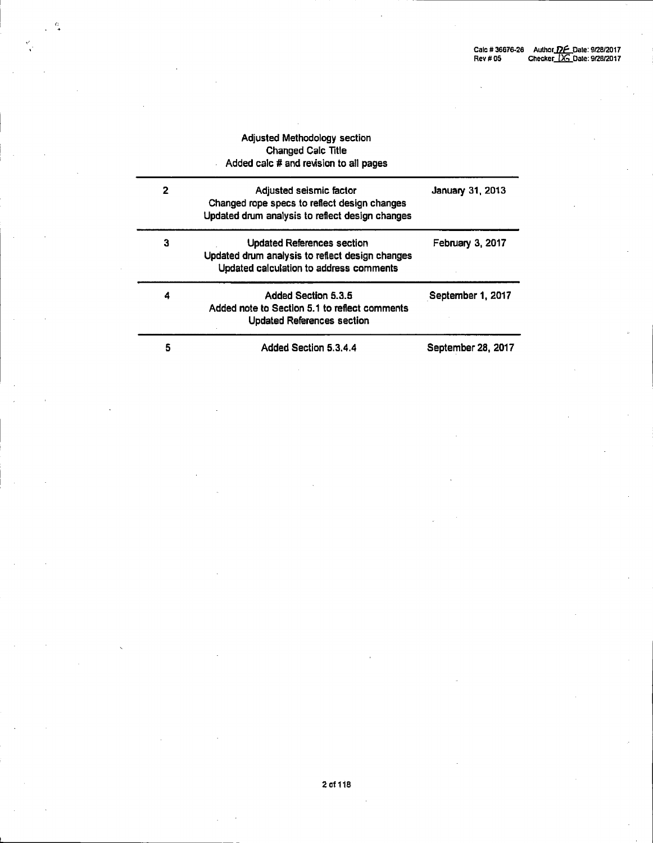|   | <b>Adjusted Methodology section</b><br><b>Changed Calc Title</b><br>Added calc # and revision to all pages                      |                    |
|---|---------------------------------------------------------------------------------------------------------------------------------|--------------------|
| 2 | Adjusted seismic factor<br>Changed rope specs to reflect design changes<br>Updated drum analysis to reflect design changes      | January 31, 2013   |
| 3 | <b>Updated References section</b><br>Updated drum analysis to reflect design changes<br>Updated calculation to address comments | February 3, 2017   |
| 4 | Added Section 5.3.5<br>Added note to Section 5.1 to reflect comments<br><b>Updated References section</b>                       | September 1, 2017  |
| 5 | Added Section 5.3.4.4                                                                                                           | September 28, 2017 |

 $\cdot \cdot$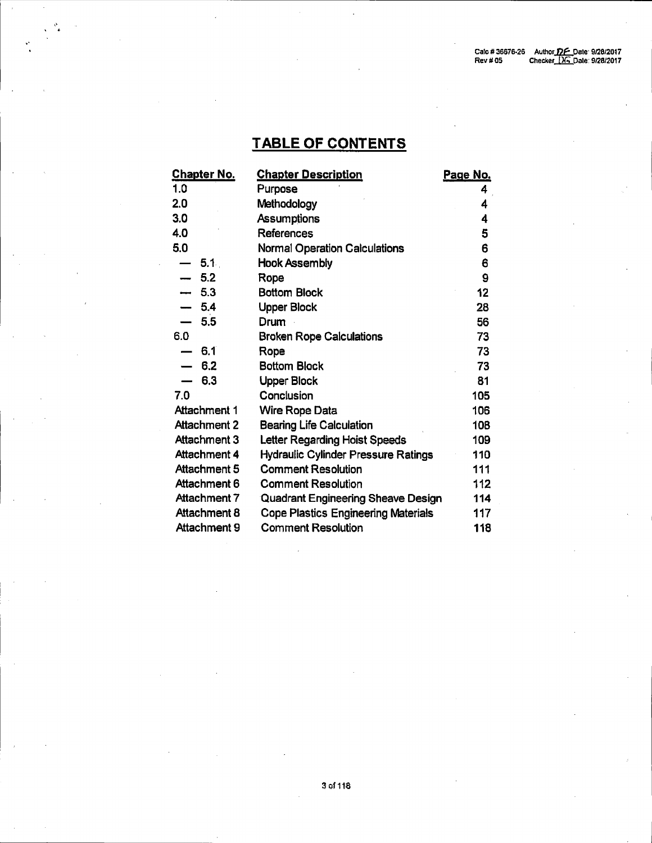## **TABLE OF CONTENTS**

| <b>Chapter No.</b>              | <b>Chapter Description</b>                 | Page No. |
|---------------------------------|--------------------------------------------|----------|
| 1.0                             | Purpose                                    | 4        |
| 2.0                             | Methodology                                | 4        |
| 3.0                             | <b>Assumptions</b>                         | 4        |
| 4.0                             | References                                 | 5        |
| 5.0                             | <b>Normal Operation Calculations</b>       | 6        |
| 5.1<br>$\overline{\phantom{0}}$ | <b>Hook Assembly</b>                       | 6        |
| 5.2                             | Rope                                       | 9        |
| 5.3<br>anna.                    | <b>Bottom Block</b>                        | 12       |
| 5.4                             | <b>Upper Block</b>                         | 28       |
| 5.5                             | Drum                                       | 56       |
| 6.0                             | <b>Broken Rope Calculations</b>            | 73       |
| 6.1<br>$\overline{\phantom{0}}$ | Rope                                       | 73       |
| 6.2                             | <b>Bottom Block</b>                        | 73       |
| 6.3                             | <b>Upper Block</b>                         | 81       |
| 7.0                             | Conclusion                                 | 105      |
| <b>Attachment 1</b>             | <b>Wire Rope Data</b>                      | 106      |
| <b>Attachment 2</b>             | <b>Bearing Life Calculation</b>            | 108      |
| Attachment 3                    | Letter Regarding Hoist Speeds              | 109      |
| <b>Attachment 4</b>             | <b>Hydraulic Cylinder Pressure Ratings</b> | 110      |
| Attachment 5                    | <b>Comment Resolution</b>                  | 111      |
| Attachment 6                    | <b>Comment Resolution</b>                  | 112      |
| Attachment 7                    | Quadrant Engineering Sheave Design         | 114      |
| Attachment 8                    | <b>Cope Plastics Engineering Materials</b> | 117      |
| Attachment 9                    | <b>Comment Resolution</b>                  | 118      |